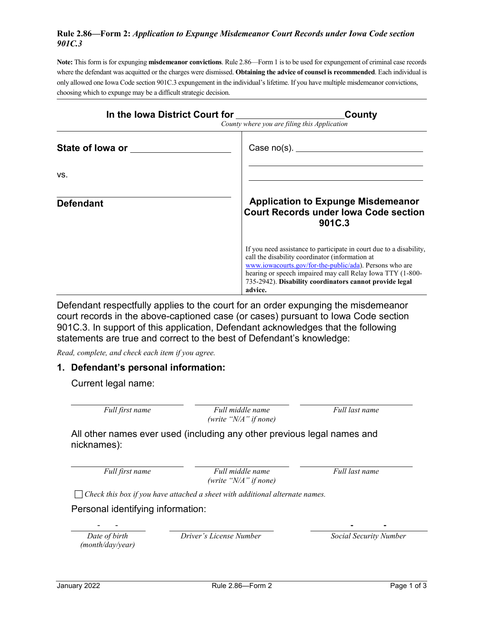## **Rule 2.86—Form 2:** *Application to Expunge Misdemeanor Court Records under Iowa Code section 901C.3*

**Note:** This form is for expunging **misdemeanor convictions**. Rule 2.86—Form 1 is to be used for expungement of criminal case records where the defendant was acquitted or the charges were dismissed. **Obtaining the advice of counsel is recommended**. Each individual is only allowed one Iowa Code section 901C.3 expungement in the individual's lifetime. If you have multiple misdemeanor convictions, choosing which to expunge may be a difficult strategic decision.

| In the Iowa District Court for | County<br>County where you are filing this Application                                                                                                                                                                                                                                                                |  |  |
|--------------------------------|-----------------------------------------------------------------------------------------------------------------------------------------------------------------------------------------------------------------------------------------------------------------------------------------------------------------------|--|--|
| State of lowa or ______        | Case $no(s)$ . $\qquad \qquad$                                                                                                                                                                                                                                                                                        |  |  |
| VS.                            |                                                                                                                                                                                                                                                                                                                       |  |  |
| <b>Defendant</b>               | <b>Application to Expunge Misdemeanor</b><br><b>Court Records under lowa Code section</b><br>901C.3                                                                                                                                                                                                                   |  |  |
|                                | If you need assistance to participate in court due to a disability,<br>call the disability coordinator (information at<br>www.iowacourts.gov/for-the-public/ada). Persons who are<br>hearing or speech impaired may call Relay Iowa TTY (1-800-<br>735-2942). Disability coordinators cannot provide legal<br>advice. |  |  |

Defendant respectfully applies to the court for an order expunging the misdemeanor court records in the above-captioned case (or cases) pursuant to Iowa Code section 901C.3. In support of this application, Defendant acknowledges that the following statements are true and correct to the best of Defendant's knowledge:

*Read, complete, and check each item if you agree.*

## **1. Defendant's personal information:**

Current legal name:

| Full first name | Full middle name          | Full last name |
|-----------------|---------------------------|----------------|
|                 | (write " $N/A$ " if none) |                |

All other names ever used (including any other previous legal names and nicknames):

*Full first name Full middle name (write "N/A" if none)* *Full last name*

*Check this box if you have attached a sheet with additional alternate names.*

Personal identifying information:

*Date of birth (month/day/year)*

*Driver's License Number Social Security Number*

- - **- -**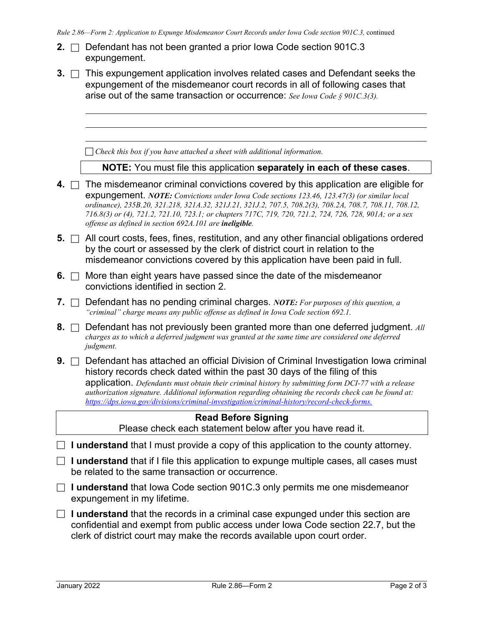- *Rule 2.86—Form 2: Application to Expunge Misdemeanor Court Records under Iowa Code section 901C.3,* continued **2.** □ Defendant has not been granted a prior lowa Code section 901C.3 expungement. **3.**  $\Box$  This expungement application involves related cases and Defendant seeks the expungement of the misdemeanor court records in all of following cases that arise out of the same transaction or occurrence: *See Iowa Code § 901C.3(3). Check this box if you have attached a sheet with additional information.* **NOTE:** You must file this application **separately in each of these cases**. **4.**  $\Box$  The misdemeanor criminal convictions covered by this application are eligible for expungement. *NOTE: Convictions under Iowa Cod[e sections 123.46,](https://1.next.westlaw.com/Link/Document/FullText?findType=L&pubNum=1000256&cite=IASTS123.46&originatingDoc=N91FE83907D0711E9A9B08E2FC34AD275&refType=LQ&originationContext=document&transitionType=DocumentItem&contextData=(sc.UserEnteredCitation)) 123.47(3) (or similar local ordinance), 235B.20, 321.218, 321A.32, 321J.21, 321J.2, 707.5, 708.2(3), 708.2A, 708.7, 708.11, 708.12, 716.8(3) or (4), 721.2, 721.10, 723.1; or chapters 717C, 719, 720, 721.2, 724, 726, 728, 901A; or a sex offense as defined in section 692A.101 are ineligible.* **5.**  $\Box$  All court costs, fees, fines, restitution, and any other financial obligations ordered by the court or assessed by the clerk of district court in relation to the misdemeanor convictions covered by this application have been paid in full. **6.**  $\Box$  More than eight years have passed since the date of the misdemeanor convictions identified in section 2. **7.** Defendant has no pending criminal charges. *NOTE: For purposes of this question, a "criminal" charge means any public offense as defined in Iowa Code section 692.1.* **8.**  $\Box$  Defendant has not previously been granted more than one deferred judgment. All *charges as to which a deferred judgment was granted at the same time are considered one deferred judgment.* **9.**  $\Box$  Defendant has attached an official Division of Criminal Investigation Iowa criminal history records check dated within the past 30 days of the filing of this application. *Defendants must obtain their criminal history by submitting form DCI-77 with a release authorization signature. Additional information regarding obtaining the records check can be found at: [https://dps.iowa.gov/divisions/criminal-investigation/criminal-history/record-check-forms.](https://dps.iowa.gov/divisions/criminal-investigation/criminal-history/record-check-forms)* **Read Before Signing** Please check each statement below after you have read it. **I** I understand that I must provide a copy of this application to the county attorney. □ **I understand** that if I file this application to expunge multiple cases, all cases must be related to the same transaction or occurrence. **I understand** that Iowa Code section 901C.3 only permits me one misdemeanor expungement in my lifetime.
- □ **I understand** that the records in a criminal case expunged under this section are confidential and exempt from public access under Iowa Code section 22.7, but the clerk of district court may make the records available upon court order.